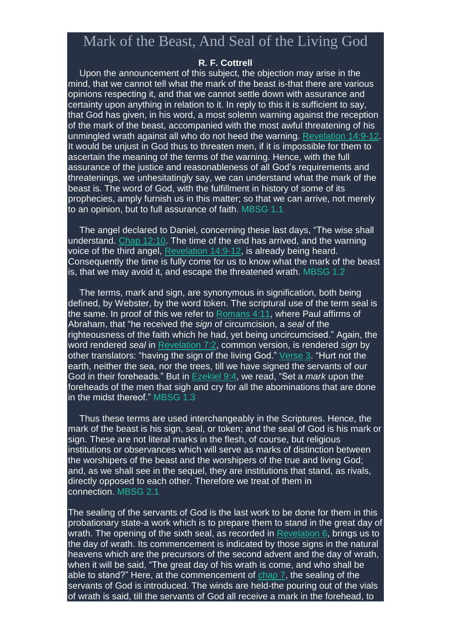## Mark of the Beast, And Seal of the Living God

## **R. F. Cottrell**

Upon the announcement of this subject, the objection may arise in the mind, that we cannot tell what the mark of the beast is-that there are various opinions respecting it, and that we cannot settle down with assurance and certainty upon anything in relation to it. In reply to this it is sufficient to say, that God has given, in his word, a most solemn warning against the reception of the mark of the beast, accompanied with the most awful threatening of his unmingled wrath against all who do not heed the warning. [Revelation](https://m.egwwritings.org/en/book/1965.63120#63120) 14:9-12. It would be unjust in God thus to threaten men, if it is impossible for them to ascertain the meaning of the terms of the warning. Hence, with the full assurance of the justice and reasonableness of all God's requirements and threatenings, we unhesitatingly say, we can understand what the mark of the beast is. The word of God, with the fulfillment in history of some of its prophecies, amply furnish us in this matter; so that we can arrive, not merely to an opinion, but to full assurance of faith. MBSG 1.1

The angel declared to Daniel, concerning these last days, "The wise shall understand. Chap [12:10.](https://m.egwwritings.org/en/book/1965.45074#45074) The time of the end has arrived, and the warning voice of the third angel, [Revelation](https://m.egwwritings.org/en/book/1965.63120#63120) 14:9-12, is already being heard. Consequently the time is fully come for us to know what the mark of the beast is, that we may avoid it, and escape the threatened wrath. MBSG 1.2

The terms, mark and sign, are synonymous in signification, both being defined, by Webster, by the word token. The scriptural use of the term seal is the same. In proof of this we refer to [Romans](https://m.egwwritings.org/en/book/1965.57164#57164) 4:11, where Paul affirms of Abraham, that "he received the *sign* of circumcision, a *seal* of the righteousness of the faith which he had, yet being uncircumcised." Again, the word rendered *seal* in [Revelation](https://m.egwwritings.org/en/book/1965.62867#62867) 7:2, common version, is rendered *sign* by other translators: "having the sign of the living God." [Verse](https://m.egwwritings.org/en/book/1965.62869#62869) 3. "Hurt not the earth, neither the sea, nor the trees, till we have signed the servants of our God in their foreheads." But in [Ezekiel](https://m.egwwritings.org/en/book/1965.42092#42092) 9:4, we read, "Set a *mark* upon the foreheads of the men that sigh and cry for all the abominations that are done in the midst thereof." MBSG 1.3

Thus these terms are used interchangeably in the Scriptures. Hence, the mark of the beast is his sign, seal, or token; and the seal of God is his mark or sign. These are not literal marks in the flesh, of course, but religious institutions or observances which will serve as marks of distinction between the worshipers of the beast and the worshipers of the true and living God; and, as we shall see in the sequel, they are institutions that stand, as rivals, directly opposed to each other. Therefore we treat of them in connection. MBSG 2.1

The sealing of the servants of God is the last work to be done for them in this probationary state-a work which is to prepare them to stand in the great day of wrath. The opening of the sixth seal, as recorded in [Revelation](https://m.egwwritings.org/en/book/1965.62830#62830) 6, brings us to the day of wrath. Its commencement is indicated by those signs in the natural heavens which are the precursors of the second advent and the day of wrath, when it will be said, "The great day of his wrath is come, and who shall be able to stand?" Here, at the commencement of [chap](https://m.egwwritings.org/en/book/1965.62865#62865) 7, the sealing of the servants of God is introduced. The winds are held-the pouring out of the vials of wrath is said, till the servants of God all receive a mark in the forehead, to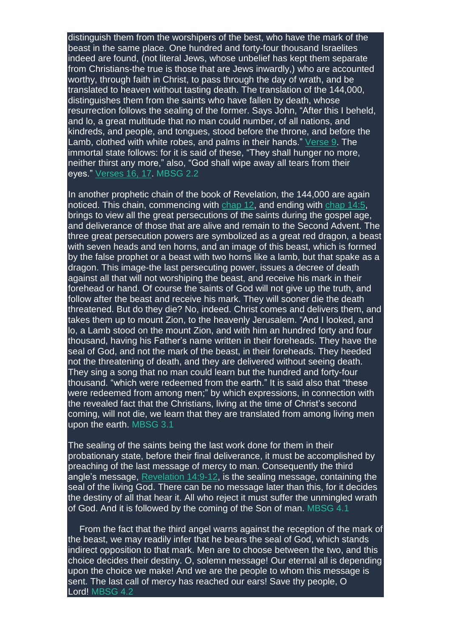distinguish them from the worshipers of the best, who have the mark of the beast in the same place. One hundred and forty-four thousand Israelites indeed are found, (not literal Jews, whose unbelief has kept them separate from Christians-the true is those that are Jews inwardly,) who are accounted worthy, through faith in Christ, to pass through the day of wrath, and be translated to heaven without tasting death. The translation of the 144,000, distinguishes them from the saints who have fallen by death, whose resurrection follows the sealing of the former. Says John, "After this I beheld, and lo, a great multitude that no man could number, of all nations, and kindreds, and people, and tongues, stood before the throne, and before the Lamb, clothed with white robes, and palms in their hands." [Verse](https://m.egwwritings.org/en/book/1965.62881#62881) 9. The immortal state follows: for it is said of these, "They shall hunger no more, neither thirst any more," also, "God shall wipe away all tears from their eyes." [Verses](https://m.egwwritings.org/en/book/1965.62895#62895) 16, 17. MBSG 2.2

In another prophetic chain of the book of Revelation, the 144,000 are again noticed. This chain, commencing with [chap](https://m.egwwritings.org/en/book/1965.63032#63032) 12, and ending with [chap](https://m.egwwritings.org/en/book/1965.63112#63112) 14:5, brings to view all the great persecutions of the saints during the gospel age, and deliverance of those that are alive and remain to the Second Advent. The three great persecution powers are symbolized as a great red dragon, a beast with seven heads and ten horns, and an image of this beast, which is formed by the false prophet or a beast with two horns like a lamb, but that spake as a dragon. This image-the last persecuting power, issues a decree of death against all that will not worshiping the beast, and receive his mark in their forehead or hand. Of course the saints of God will not give up the truth, and follow after the beast and receive his mark. They will sooner die the death threatened. But do they die? No, indeed. Christ comes and delivers them, and takes them up to mount Zion, to the heavenly Jerusalem. "And I looked, and lo, a Lamb stood on the mount Zion, and with him an hundred forty and four thousand, having his Father's name written in their foreheads. They have the seal of God, and not the mark of the beast, in their foreheads. They heeded not the threatening of death, and they are delivered without seeing death. They sing a song that no man could learn but the hundred and forty-four thousand. "which were redeemed from the earth." It is said also that "these were redeemed from among men;" by which expressions, in connection with the revealed fact that the Christians, living at the time of Christ's second coming, will not die, we learn that they are translated from among living men upon the earth. MBSG 3.1

The sealing of the saints being the last work done for them in their probationary state, before their final deliverance, it must be accomplished by preaching of the last message of mercy to man. Consequently the third angle's message, [Revelation](https://m.egwwritings.org/en/book/1965.63120#63120) 14:9-12, is the sealing message, containing the seal of the living God. There can be no message later than this, for it decides the destiny of all that hear it. All who reject it must suffer the unmingled wrath of God. And it is followed by the coming of the Son of man. MBSG 4.1

From the fact that the third angel warns against the reception of the mark of the beast, we may readily infer that he bears the seal of God, which stands indirect opposition to that mark. Men are to choose between the two, and this choice decides their destiny. O, solemn message! Our eternal all is depending upon the choice we make! And we are the people to whom this message is sent. The last call of mercy has reached our ears! Save thy people, O Lord! MBSG 4.2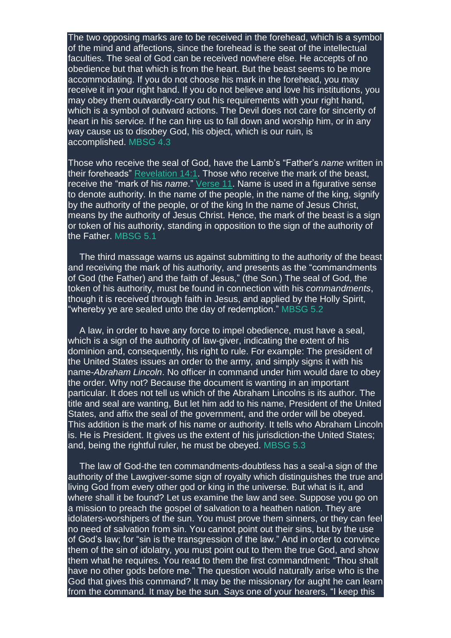The two opposing marks are to be received in the forehead, which is a symbol of the mind and affections, since the forehead is the seat of the intellectual faculties. The seal of God can be received nowhere else. He accepts of no obedience but that which is from the heart. But the beast seems to be more accommodating. If you do not choose his mark in the forehead, you may receive it in your right hand. If you do not believe and love his institutions, you may obey them outwardly-carry out his requirements with your right hand, which is a symbol of outward actions. The Devil does not care for sincerity of heart in his service. If he can hire us to fall down and worship him, or in any way cause us to disobey God, his object, which is our ruin, is accomplished. MBSG 4.3

Those who receive the seal of God, have the Lamb's "Father's *name* written in their foreheads" [Revelation](https://m.egwwritings.org/en/book/1965.63104#63104) 14:1. Those who receive the mark of the beast, receive the "mark of his *name*." [Verse](https://m.egwwritings.org/en/book/1965.63124#63124) 11. Name is used in a figurative sense to denote authority. In the name of the people, in the name of the king, signify by the authority of the people, or of the king In the name of Jesus Christ, means by the authority of Jesus Christ. Hence, the mark of the beast is a sign or token of his authority, standing in opposition to the sign of the authority of the Father. MBSG 5.1

The third massage warns us against submitting to the authority of the beast and receiving the mark of his authority, and presents as the "commandments of God (the Father) and the faith of Jesus," (the Son.) The seal of God, the token of his authority, must be found in connection with his *commandments*, though it is received through faith in Jesus, and applied by the Holly Spirit, "whereby ye are sealed unto the day of redemption." MBSG 5.2

A law, in order to have any force to impel obedience, must have a seal, which is a sign of the authority of law-giver, indicating the extent of his dominion and, consequently, his right to rule. For example: The president of the United States issues an order to the army, and simply signs it with his name-*Abraham Lincoln*. No officer in command under him would dare to obey the order. Why not? Because the document is wanting in an important particular. It does not tell us which of the Abraham Lincolns is its author. The title and seal are wanting, But let him add to his name, President of the United States, and affix the seal of the government, and the order will be obeyed. This addition is the mark of his name or authority. It tells who Abraham Lincoln is. He is President. It gives us the extent of his jurisdiction-the United States; and, being the rightful ruler, he must be obeyed. MBSG 5.3

The law of God-the ten commandments-doubtless has a seal-a sign of the authority of the Lawgiver-some sign of royalty which distinguishes the true and living God from every other god or king in the universe. But what is it, and where shall it be found? Let us examine the law and see. Suppose you go on a mission to preach the gospel of salvation to a heathen nation. They are idolaters-worshipers of the sun. You must prove them sinners, or they can feel no need of salvation from sin. You cannot point out their sins, but by the use of God's law; for "sin is the transgression of the law." And in order to convince them of the sin of idolatry, you must point out to them the true God, and show them what he requires. You read to them the first commandment: "Thou shalt have no other gods before me." The question would naturally arise who is the God that gives this command? It may be the missionary for aught he can learn from the command. It may be the sun. Says one of your hearers, "I keep this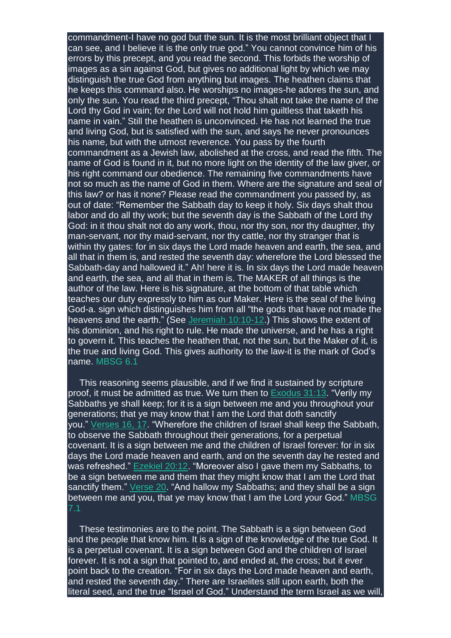commandment-I have no god but the sun. It is the most brilliant object that I can see, and I believe it is the only true god." You cannot convince him of his errors by this precept, and you read the second. This forbids the worship of images as a sin against God, but gives no additional light by which we may distinguish the true God from anything but images. The heathen claims that he keeps this command also. He worships no images-he adores the sun, and only the sun. You read the third precept, "Thou shalt not take the name of the Lord thy God in vain; for the Lord will not hold him guiltless that taketh his name in vain." Still the heathen is unconvinced. He has not learned the true and living God, but is satisfied with the sun, and says he never pronounces his name, but with the utmost reverence. You pass by the fourth commandment as a Jewish law, abolished at the cross, and read the fifth. The name of God is found in it, but no more light on the identity of the law giver, or his right command our obedience. The remaining five commandments have not so much as the name of God in them. Where are the signature and seal of this law? or has it none? Please read the commandment you passed by, as out of date: "Remember the Sabbath day to keep it holy. Six days shalt thou labor and do all thy work; but the seventh day is the Sabbath of the Lord thy God: in it thou shalt not do any work, thou, nor thy son, nor thy daughter, thy man-servant, nor thy maid-servant, nor thy cattle, nor thy stranger that is within thy gates: for in six days the Lord made heaven and earth, the sea, and all that in them is, and rested the seventh day: wherefore the Lord blessed the Sabbath-day and hallowed it." Ah! here it is. In six days the Lord made heaven and earth, the sea, and all that in them is. The MAKER of all things is the author of the law. Here is his signature, at the bottom of that table which teaches our duty expressly to him as our Maker. Here is the seal of the living God-a. sign which distinguishes him from all "the gods that have not made the heavens and the earth." (See Jeremiah [10:10-12.](https://m.egwwritings.org/en/book/1965.39204#39204)) This shows the extent of his dominion, and his right to rule. He made the universe, and he has a right to govern it. This teaches the heathen that, not the sun, but the Maker of it, is the true and living God. This gives authority to the law-it is the mark of God's name. MBSG 6.1

This reasoning seems plausible, and if we find it sustained by scripture proof, it must be admitted as true. We turn then to [Exodus](https://m.egwwritings.org/en/book/1965.4952#4952) 31:13. "Verily my Sabbaths ye shall keep; for it is a sign between me and you throughout your generations; that ye may know that I am the Lord that doth sanctify you." [Verses](https://m.egwwritings.org/en/book/1965.4958#4958) 16, 17. "Wherefore the children of Israel shall keep the Sabbath, to observe the Sabbath throughout their generations, for a perpetual covenant. It is a sign between me and the children of Israel forever: for in six days the Lord made heaven and earth, and on the seventh day he rested and was refreshed." [Ezekiel](https://m.egwwritings.org/en/book/1965.42665#42665) 20:12. "Moreover also I gave them my Sabbaths, to be a sign between me and them that they might know that I am the Lord that sanctify them." [Verse](https://m.egwwritings.org/en/book/1965.42681#42681) 20. "And hallow my Sabbaths; and they shall be a sign between me and you, that ye may know that I am the Lord your God." MBSG 7.1

These testimonies are to the point. The Sabbath is a sign between God and the people that know him. It is a sign of the knowledge of the true God. It is a perpetual covenant. It is a sign between God and the children of Israel forever. It is not a sign that pointed to, and ended at, the cross; but it ever point back to the creation. "For in six days the Lord made heaven and earth, and rested the seventh day." There are Israelites still upon earth, both the literal seed, and the true "Israel of God." Understand the term Israel as we will,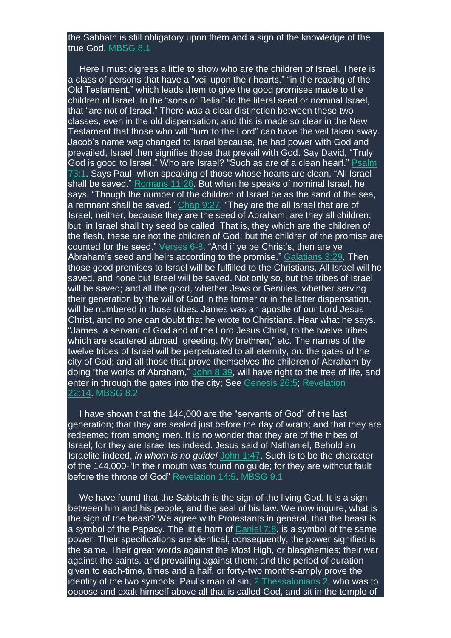## the Sabbath is still obligatory upon them and a sign of the knowledge of the true God. MBSG 8.1

Here I must digress a little to show who are the children of Israel. There is a class of persons that have a "veil upon their hearts," "in the reading of the Old Testament," which leads them to give the good promises made to the children of Israel, to the "sons of Belial"-to the literal seed or nominal Israel, that "are not of Israel." There was a clear distinction between these two classes, even in the old dispensation; and this is made so clear in the New Testament that those who will "turn to the Lord" can have the veil taken away. Jacob's name wag changed to Israel because, he had power with God and prevailed, Israel then signifies those that prevail with God. Say David, "Truly God is good to Israel." Who are Israel? "Such as are of a clean heart." [Psalm](https://m.egwwritings.org/en/book/1965.30615#30615) [73:1.](https://m.egwwritings.org/en/book/1965.30615#30615) Says Paul, when speaking of those whose hearts are clean, "All Israel shall be saved." [Romans](https://m.egwwritings.org/en/book/1965.57575#57575) 11:26. But when he speaks of nominal Israel, he says, "Though the number of the children of Israel be as the sand of the sea, a remnant shall be saved." [Chap](https://m.egwwritings.org/en/book/1965.57467#57467) 9:27. "They are the all Israel that are of Israel; neither, because they are the seed of Abraham, are they all children; but, in Israel shall thy seed be called. That is, they which are the children of the flesh, these are not the children of God; but the children of the promise are counted for the seed."  $Verses 6-8$  $Verses 6-8$  $Verses 6-8$ . "And if ye be Christ's, then are ye</u> Abraham's seed and heirs according to the promise." [Galatians](https://m.egwwritings.org/en/book/1965.59407#59407) 3:29. Then those good promises to Israel will be fulfilled to the Christians. All Israel will he saved, and none but Israel will be saved. Not only so, but the tribes of Israel will be saved; and all the good, whether Jews or Gentiles, whether serving their generation by the will of God in the former or in the latter dispensation, will be numbered in those tribes. James was an apostle of our Lord Jesus Christ, and no one can doubt that he wrote to Christians. Hear what he says. "James, a servant of God and of the Lord Jesus Christ, to the twelve tribes which are scattered abroad, greeting. My brethren," etc. The names of the twelve tribes of Israel will be perpetuated to all eternity, on. the gates of the city of God; and all those that prove themselves the children of Abraham by doing "the works of Abraham," [John](https://m.egwwritings.org/en/book/1965.53891#53891) 8:39, will have right to the tree of life, and enter in through the gates into the city; See [Genesis](https://m.egwwritings.org/en/book/1965.1424#1424) 26:5; [Revelation](https://m.egwwritings.org/en/book/1965.63446#63446) [22:14.](https://m.egwwritings.org/en/book/1965.63446#63446) MBSG 8.2

I have shown that the 144,000 are the "servants of God" of the last generation; that they are sealed just before the day of wrath; and that they are redeemed from among men. It is no wonder that they are of the tribes of Israel; for they are Israelites indeed. Jesus said of Nathaniel, Behold an Israelite indeed, *in whom is no guide!* [John](https://m.egwwritings.org/en/book/1965.53226#53226) 1:47. Such is to be the character of the 144,000-"In their mouth was found no guide; for they are without fault before the throne of God" [Revelation](https://m.egwwritings.org/en/book/1965.63112#63112) 14:5. MBSG 9.1

We have found that the Sabbath is the sign of the living God. It is a sign between him and his people, and the seal of his law. We now inquire, what is the sign of the beast? We agree with Protestants in general, that the beast is a symbol of the Papacy. The little horn of [Daniel](https://m.egwwritings.org/en/book/1965.44769#44769) 7:8, is a symbol of the same power. Their specifications are identical; consequently, the power signified is the same. Their great words against the Most High, or blasphemies; their war against the saints, and prevailing against them; and the period of duration given to each-time, times and a half, or forty-two months-amply prove the identity of the two symbols. Paul's man of  $sin$ ,  $2$  [Thessalonians](https://m.egwwritings.org/en/book/1965.60498#60498)  $2$ , who was to oppose and exalt himself above all that is called God, and sit in the temple of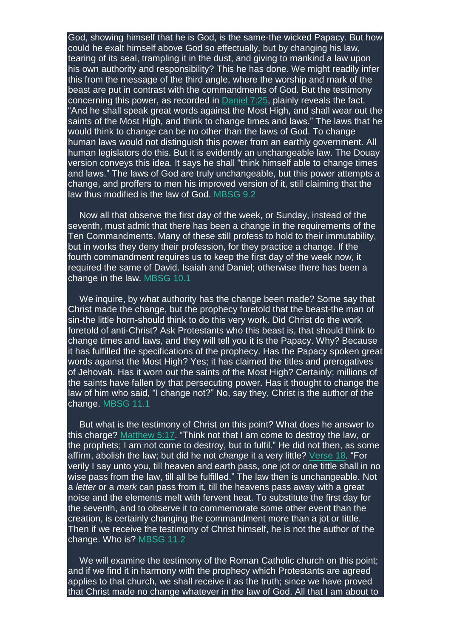God, showing himself that he is God, is the same-the wicked Papacy. But how could he exalt himself above God so effectually, but by changing his law, tearing of its seal, trampling it in the dust, and giving to mankind a law upon his own authority and responsibility? This he has done. We might readily infer this from the message of the third angle, where the worship and mark of the beast are put in contrast with the commandments of God. But the testimony concerning this power, as recorded in [Daniel](https://m.egwwritings.org/en/book/1965.44803#44803) 7:25, plainly reveals the fact. "And he shall speak great words against the Most High, and shall wear out the saints of the Most High, and think to change times and laws." The laws that he would think to change can be no other than the laws of God. To change human laws would not distinguish this power from an earthly government. All human legislators do this. But it is evidently an unchangeable law. The Douay version conveys this idea. It says he shall "think himself able to change times and laws." The laws of God are truly unchangeable, but this power attempts a change, and proffers to men his improved version of it, still claiming that the law thus modified is the law of God. MBSG 9.2

Now all that observe the first day of the week, or Sunday, instead of the seventh, must admit that there has been a change in the requirements of the Ten Commandments. Many of these still profess to hold to their immutability, but in works they deny their profession, for they practice a change. If the fourth commandment requires us to keep the first day of the week now, it required the same of David. Isaiah and Daniel; otherwise there has been a change in the law. MBSG 10.1

We inquire, by what authority has the change been made? Some say that Christ made the change, but the prophecy foretold that the beast-the man of sin-the little horn-should think to do this very work. Did Christ do the work foretold of anti-Christ? Ask Protestants who this beast is, that should think to change times and laws, and they will tell you it is the Papacy. Why? Because it has fulfilled the specifications of the prophecy. Has the Papacy spoken great words against the Most High? Yes; it has claimed the titles and prerogatives of Jehovah. Has it worn out the saints of the Most High? Certainly; millions of the saints have fallen by that persecuting power. Has it thought to change the law of him who said, "I change not?" No, say they, Christ is the author of the change. MBSG 11.1

But what is the testimony of Christ on this point? What does he answer to this charge? [Matthew](https://m.egwwritings.org/en/book/1965.47479#47479) 5:17. "Think not that I am come to destroy the law, or the prophets; I am not come to destroy, but to fulfil." He did not then, as some affirm, abolish the law; but did he not *change* it a very little? [Verse](https://m.egwwritings.org/en/book/1965.47481#47481) 18. "For verily I say unto you, till heaven and earth pass, one jot or one tittle shall in no wise pass from the law, till all be fulfilled." The law then is unchangeable. Not a *letter* or a *mark* can pass from it, till the heavens pass away with a great noise and the elements melt with fervent heat. To substitute the first day for the seventh, and to observe it to commemorate some other event than the creation, is certainly changing the commandment more than a jot or tittle. Then if we receive the testimony of Christ himself, he is not the author of the change. Who is? MBSG 11.2

We will examine the testimony of the Roman Catholic church on this point; and if we find it in harmony with the prophecy which Protestants are agreed applies to that church, we shall receive it as the truth; since we have proved that Christ made no change whatever in the law of God. All that I am about to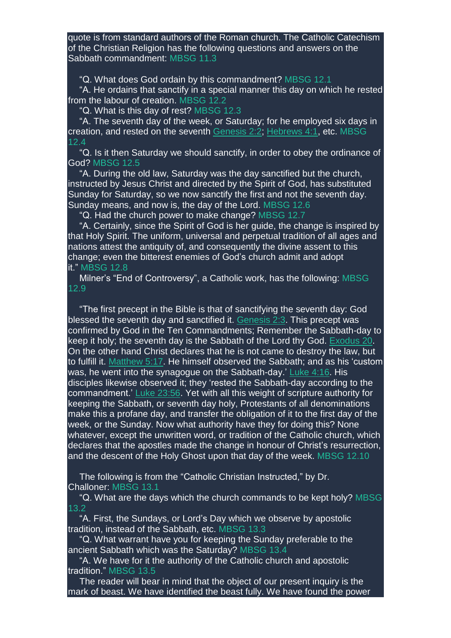quote is from standard authors of the Roman church. The Catholic Catechism of the Christian Religion has the following questions and answers on the Sabbath commandment: MBSG 11.3

"Q. What does God ordain by this commandment? MBSG 12.1

"A. He ordains that sanctify in a special manner this day on which he rested from the labour of creation. MBSG 12.2

"Q. What is this day of rest? MBSG 12.3

"A. The seventh day of the week, or Saturday; for he employed six days in creation, and rested on the seventh [Genesis](https://m.egwwritings.org/en/book/1965.70#70) 2:2; [Hebrews](https://m.egwwritings.org/en/book/1965.61228#61228) 4:1, etc. MBSG 12.4

"Q. Is it then Saturday we should sanctify, in order to obey the ordinance of God? MBSG 12.5

"A. During the old law, Saturday was the day sanctified but the church, instructed by Jesus Christ and directed by the Spirit of God, has substituted Sunday for Saturday, so we now sanctify the first and not the seventh day. Sunday means, and now is, the day of the Lord. MBSG 12.6

"Q. Had the church power to make change? MBSG 12.7

"A. Certainly, since the Spirit of God is her guide, the change is inspired by that Holy Spirit. The uniform, universal and perpetual tradition of all ages and nations attest the antiquity of, and consequently the divine assent to this change; even the bitterest enemies of God's church admit and adopt it." MBSG 12.8

Milner's "End of Controversy", a Catholic work, has the following: MBSG 12.9

"The first precept in the Bible is that of sanctifying the seventh day: God blessed the seventh day and sanctified it. [Genesis](https://m.egwwritings.org/en/book/1965.72#72) 2:3. This precept was confirmed by God in the Ten Commandments; Remember the Sabbath-day to keep it holy; the seventh day is the Sabbath of the Lord thy God. [Exodus](https://m.egwwritings.org/en/book/1965.4179#4179) 20. On the other hand Christ declares that he is not came to destroy the law, but to fulfill it. [Matthew](https://m.egwwritings.org/en/book/1965.47479#47479) 5:17. He himself observed the Sabbath; and as his 'custom was, he went into the synagogue on the Sabbath-day.' [Luke](https://m.egwwritings.org/en/book/1965.51180#51180) 4:16. His disciples likewise observed it; they 'rested the Sabbath-day according to the commandment.' Luke [23:56.](https://m.egwwritings.org/en/book/1965.53023#53023) Yet with all this weight of scripture authority for keeping the Sabbath, or seventh day holy, Protestants of all denominations make this a profane day, and transfer the obligation of it to the first day of the week, or the Sunday. Now what authority have they for doing this? None whatever, except the unwritten word, or tradition of the Catholic church, which declares that the apostles made the change in honour of Christ's resurrection, and the descent of the Holy Ghost upon that day of the week. MBSG 12.10

The following is from the "Catholic Christian Instructed," by Dr. Challoner: MBSG 13.1

"Q. What are the days which the church commands to be kept holy? MBSG 13.2

"A. First, the Sundays, or Lord's Day which we observe by apostolic tradition, instead of the Sabbath, etc. MBSG 13.3

"Q. What warrant have you for keeping the Sunday preferable to the ancient Sabbath which was the Saturday? MBSG 13.4

"A. We have for it the authority of the Catholic church and apostolic tradition." MBSG 13.5

The reader will bear in mind that the object of our present inquiry is the mark of beast. We have identified the beast fully. We have found the power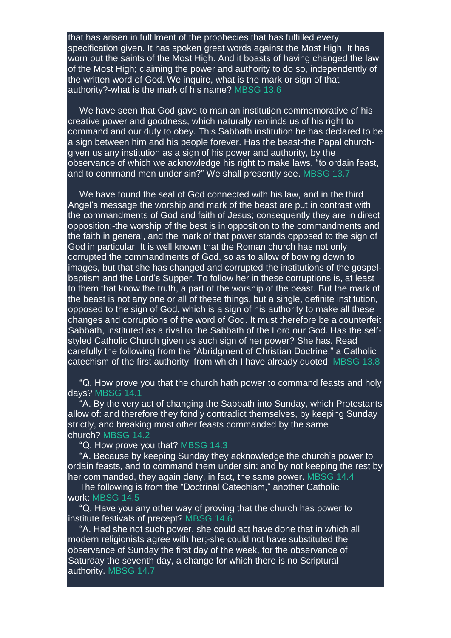that has arisen in fulfilment of the prophecies that has fulfilled every specification given. It has spoken great words against the Most High. It has worn out the saints of the Most High. And it boasts of having changed the law of the Most High; claiming the power and authority to do so, independently of the written word of God. We inquire, what is the mark or sign of that authority?-what is the mark of his name? MBSG 13.6

We have seen that God gave to man an institution commemorative of his creative power and goodness, which naturally reminds us of his right to command and our duty to obey. This Sabbath institution he has declared to be a sign between him and his people forever. Has the beast-the Papal churchgiven us any institution as a sign of his power and authority, by the observance of which we acknowledge his right to make laws, "to ordain feast, and to command men under sin?" We shall presently see. MBSG 13.7

We have found the seal of God connected with his law, and in the third Angel's message the worship and mark of the beast are put in contrast with the commandments of God and faith of Jesus; consequently they are in direct opposition;-the worship of the best is in opposition to the commandments and the faith in general, and the mark of that power stands opposed to the sign of God in particular. It is well known that the Roman church has not only corrupted the commandments of God, so as to allow of bowing down to images, but that she has changed and corrupted the institutions of the gospelbaptism and the Lord's Supper. To follow her in these corruptions is, at least to them that know the truth, a part of the worship of the beast. But the mark of the beast is not any one or all of these things, but a single, definite institution, opposed to the sign of God, which is a sign of his authority to make all these changes and corruptions of the word of God. It must therefore be a counterfeit Sabbath, instituted as a rival to the Sabbath of the Lord our God. Has the selfstyled Catholic Church given us such sign of her power? She has. Read carefully the following from the "Abridgment of Christian Doctrine," a Catholic catechism of the first authority, from which I have already quoted: MBSG 13.8

"Q. How prove you that the church hath power to command feasts and holy days? MBSG 14.1

"A. By the very act of changing the Sabbath into Sunday, which Protestants allow of: and therefore they fondly contradict themselves, by keeping Sunday strictly, and breaking most other feasts commanded by the same church? MBSG 14.2

"Q. How prove you that? MBSG 14.3

"A. Because by keeping Sunday they acknowledge the church's power to ordain feasts, and to command them under sin; and by not keeping the rest by her commanded, they again deny, in fact, the same power. MBSG 14.4

The following is from the "Doctrinal Catechism," another Catholic work: MBSG 14.5

"Q. Have you any other way of proving that the church has power to institute festivals of precept? MBSG 14.6

"A. Had she not such power, she could act have done that in which all modern religionists agree with her;-she could not have substituted the observance of Sunday the first day of the week, for the observance of Saturday the seventh day, a change for which there is no Scriptural authority. MBSG 14.7